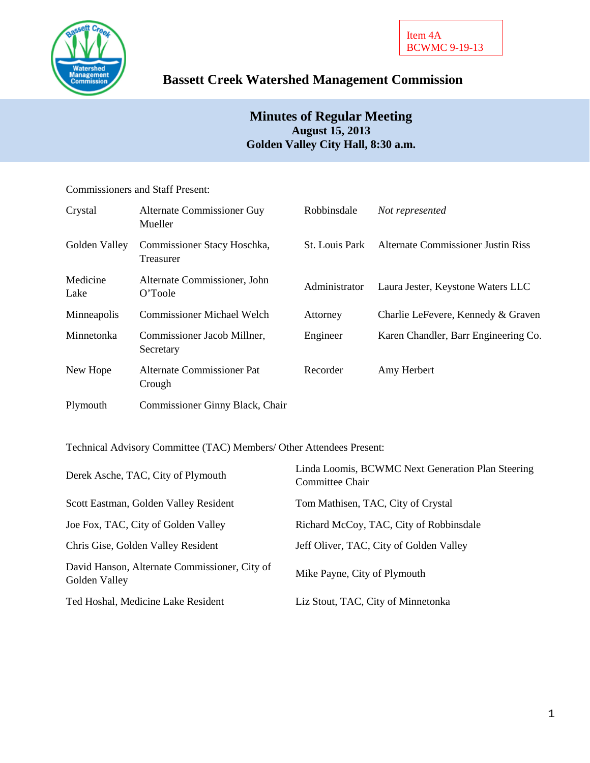

# **Bassett Creek Watershed Management Commission**

## **Minutes of Regular Meeting August 15, 2013 Golden Valley City Hall, 8:30 a.m.**

Commissioners and Staff Present:

| Crystal          | Alternate Commissioner Guy<br>Mueller    | Robbinsdale           | Not represented                           |
|------------------|------------------------------------------|-----------------------|-------------------------------------------|
| Golden Valley    | Commissioner Stacy Hoschka,<br>Treasurer | <b>St.</b> Louis Park | <b>Alternate Commissioner Justin Riss</b> |
| Medicine<br>Lake | Alternate Commissioner, John<br>O'Toole  | Administrator         | Laura Jester, Keystone Waters LLC         |
| Minneapolis      | <b>Commissioner Michael Welch</b>        | Attorney              | Charlie LeFevere, Kennedy & Graven        |
| Minnetonka       | Commissioner Jacob Millner,<br>Secretary | Engineer              | Karen Chandler, Barr Engineering Co.      |
| New Hope         | Alternate Commissioner Pat<br>Crough     | Recorder              | Amy Herbert                               |
| Plymouth         | Commissioner Ginny Black, Chair          |                       |                                           |

Technical Advisory Committee (TAC) Members/ Other Attendees Present:

| Derek Asche, TAC, City of Plymouth                             | Linda Loomis, BCWMC Next Generation Plan Steering<br>Committee Chair |
|----------------------------------------------------------------|----------------------------------------------------------------------|
| Scott Eastman, Golden Valley Resident                          | Tom Mathisen, TAC, City of Crystal                                   |
| Joe Fox, TAC, City of Golden Valley                            | Richard McCoy, TAC, City of Robbinsdale                              |
| Chris Gise, Golden Valley Resident                             | Jeff Oliver, TAC, City of Golden Valley                              |
| David Hanson, Alternate Commissioner, City of<br>Golden Valley | Mike Payne, City of Plymouth                                         |
| Ted Hoshal, Medicine Lake Resident                             | Liz Stout, TAC, City of Minnetonka                                   |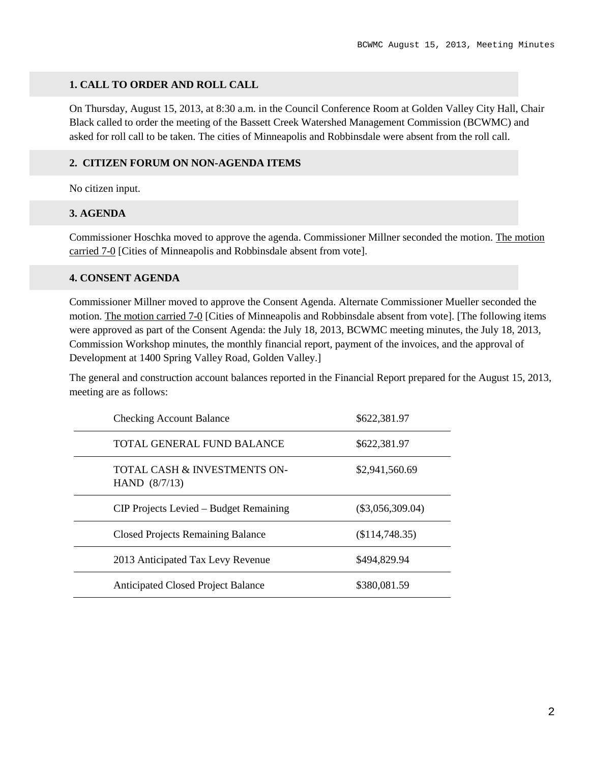## **1. CALL TO ORDER AND ROLL CALL**

On Thursday, August 15, 2013, at 8:30 a.m. in the Council Conference Room at Golden Valley City Hall, Chair Black called to order the meeting of the Bassett Creek Watershed Management Commission (BCWMC) and asked for roll call to be taken. The cities of Minneapolis and Robbinsdale were absent from the roll call.

#### **2. CITIZEN FORUM ON NON-AGENDA ITEMS**

No citizen input.

#### **3. AGENDA**

Commissioner Hoschka moved to approve the agenda. Commissioner Millner seconded the motion. The motion carried 7-0 [Cities of Minneapolis and Robbinsdale absent from vote].

#### **4. CONSENT AGENDA**

Commissioner Millner moved to approve the Consent Agenda. Alternate Commissioner Mueller seconded the motion. The motion carried 7-0 [Cities of Minneapolis and Robbinsdale absent from vote]. [The following items were approved as part of the Consent Agenda: the July 18, 2013, BCWMC meeting minutes, the July 18, 2013, Commission Workshop minutes, the monthly financial report, payment of the invoices, and the approval of Development at 1400 Spring Valley Road, Golden Valley.]

The general and construction account balances reported in the Financial Report prepared for the August 15, 2013, meeting are as follows:

| <b>Checking Account Balance</b>                 | \$622,381.97       |
|-------------------------------------------------|--------------------|
| TOTAL GENERAL FUND BALANCE                      | \$622,381.97       |
| TOTAL CASH & INVESTMENTS ON-<br>HAND $(8/7/13)$ | \$2,941,560.69     |
| CIP Projects Levied – Budget Remaining          | $(\$3,056,309.04)$ |
| <b>Closed Projects Remaining Balance</b>        | (\$114,748.35)     |
| 2013 Anticipated Tax Levy Revenue               | \$494,829.94       |
| <b>Anticipated Closed Project Balance</b>       | \$380,081.59       |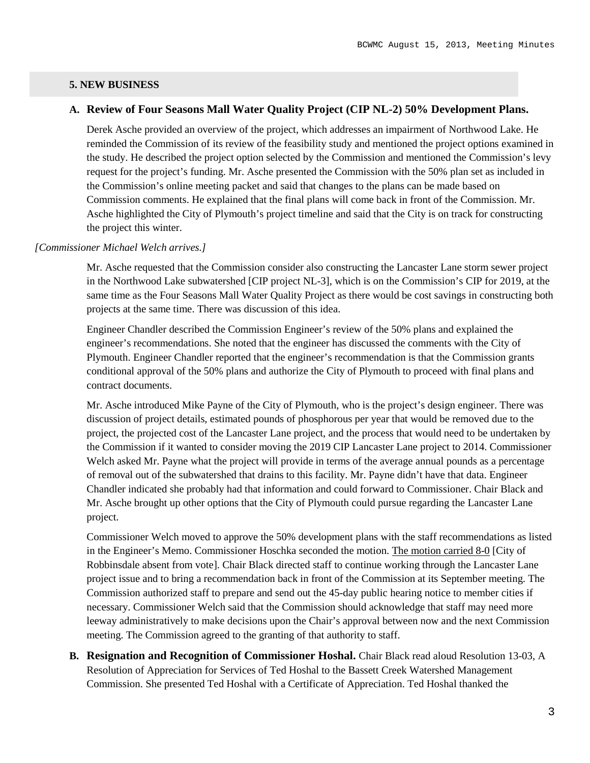## **5. NEW BUSINESS**

## **A. Review of Four Seasons Mall Water Quality Project (CIP NL-2) 50% Development Plans.**

Derek Asche provided an overview of the project, which addresses an impairment of Northwood Lake. He reminded the Commission of its review of the feasibility study and mentioned the project options examined in the study. He described the project option selected by the Commission and mentioned the Commission's levy request for the project's funding. Mr. Asche presented the Commission with the 50% plan set as included in the Commission's online meeting packet and said that changes to the plans can be made based on Commission comments. He explained that the final plans will come back in front of the Commission. Mr. Asche highlighted the City of Plymouth's project timeline and said that the City is on track for constructing the project this winter.

#### *[Commissioner Michael Welch arrives.]*

Mr. Asche requested that the Commission consider also constructing the Lancaster Lane storm sewer project in the Northwood Lake subwatershed [CIP project NL-3], which is on the Commission's CIP for 2019, at the same time as the Four Seasons Mall Water Quality Project as there would be cost savings in constructing both projects at the same time. There was discussion of this idea.

Engineer Chandler described the Commission Engineer's review of the 50% plans and explained the engineer's recommendations. She noted that the engineer has discussed the comments with the City of Plymouth. Engineer Chandler reported that the engineer's recommendation is that the Commission grants conditional approval of the 50% plans and authorize the City of Plymouth to proceed with final plans and contract documents.

Mr. Asche introduced Mike Payne of the City of Plymouth, who is the project's design engineer. There was discussion of project details, estimated pounds of phosphorous per year that would be removed due to the project, the projected cost of the Lancaster Lane project, and the process that would need to be undertaken by the Commission if it wanted to consider moving the 2019 CIP Lancaster Lane project to 2014. Commissioner Welch asked Mr. Payne what the project will provide in terms of the average annual pounds as a percentage of removal out of the subwatershed that drains to this facility. Mr. Payne didn't have that data. Engineer Chandler indicated she probably had that information and could forward to Commissioner. Chair Black and Mr. Asche brought up other options that the City of Plymouth could pursue regarding the Lancaster Lane project.

Commissioner Welch moved to approve the 50% development plans with the staff recommendations as listed in the Engineer's Memo. Commissioner Hoschka seconded the motion. The motion carried 8-0 [City of Robbinsdale absent from vote]. Chair Black directed staff to continue working through the Lancaster Lane project issue and to bring a recommendation back in front of the Commission at its September meeting. The Commission authorized staff to prepare and send out the 45-day public hearing notice to member cities if necessary. Commissioner Welch said that the Commission should acknowledge that staff may need more leeway administratively to make decisions upon the Chair's approval between now and the next Commission meeting. The Commission agreed to the granting of that authority to staff.

**B. Resignation and Recognition of Commissioner Hoshal.** Chair Black read aloud Resolution 13-03, A Resolution of Appreciation for Services of Ted Hoshal to the Bassett Creek Watershed Management Commission. She presented Ted Hoshal with a Certificate of Appreciation. Ted Hoshal thanked the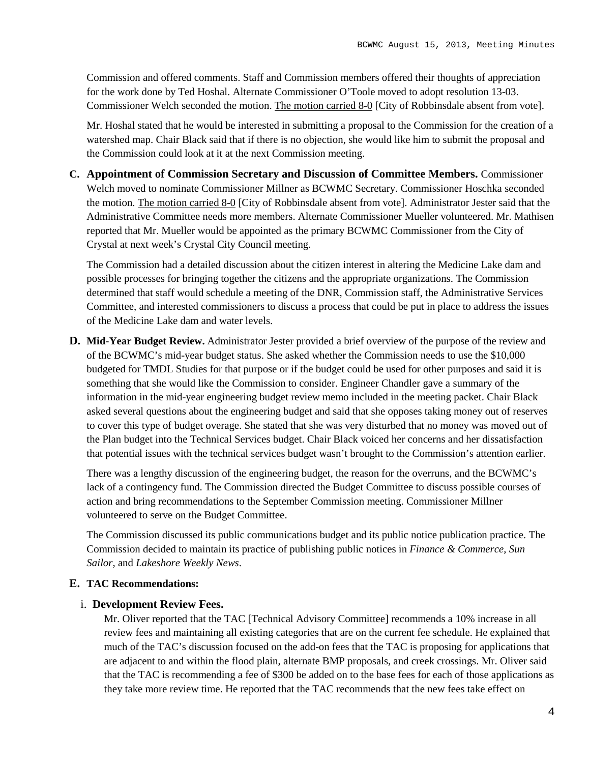Commission and offered comments. Staff and Commission members offered their thoughts of appreciation for the work done by Ted Hoshal. Alternate Commissioner O'Toole moved to adopt resolution 13-03. Commissioner Welch seconded the motion. The motion carried 8-0 [City of Robbinsdale absent from vote].

Mr. Hoshal stated that he would be interested in submitting a proposal to the Commission for the creation of a watershed map. Chair Black said that if there is no objection, she would like him to submit the proposal and the Commission could look at it at the next Commission meeting.

**C. Appointment of Commission Secretary and Discussion of Committee Members.** Commissioner Welch moved to nominate Commissioner Millner as BCWMC Secretary. Commissioner Hoschka seconded the motion. The motion carried 8-0 [City of Robbinsdale absent from vote]. Administrator Jester said that the Administrative Committee needs more members. Alternate Commissioner Mueller volunteered. Mr. Mathisen reported that Mr. Mueller would be appointed as the primary BCWMC Commissioner from the City of Crystal at next week's Crystal City Council meeting.

The Commission had a detailed discussion about the citizen interest in altering the Medicine Lake dam and possible processes for bringing together the citizens and the appropriate organizations. The Commission determined that staff would schedule a meeting of the DNR, Commission staff, the Administrative Services Committee, and interested commissioners to discuss a process that could be put in place to address the issues of the Medicine Lake dam and water levels.

**D. Mid-Year Budget Review.** Administrator Jester provided a brief overview of the purpose of the review and of the BCWMC's mid-year budget status. She asked whether the Commission needs to use the \$10,000 budgeted for TMDL Studies for that purpose or if the budget could be used for other purposes and said it is something that she would like the Commission to consider. Engineer Chandler gave a summary of the information in the mid-year engineering budget review memo included in the meeting packet. Chair Black asked several questions about the engineering budget and said that she opposes taking money out of reserves to cover this type of budget overage. She stated that she was very disturbed that no money was moved out of the Plan budget into the Technical Services budget. Chair Black voiced her concerns and her dissatisfaction that potential issues with the technical services budget wasn't brought to the Commission's attention earlier.

There was a lengthy discussion of the engineering budget, the reason for the overruns, and the BCWMC's lack of a contingency fund. The Commission directed the Budget Committee to discuss possible courses of action and bring recommendations to the September Commission meeting. Commissioner Millner volunteered to serve on the Budget Committee.

The Commission discussed its public communications budget and its public notice publication practice. The Commission decided to maintain its practice of publishing public notices in *Finance & Commerce*, *Sun Sailor*, and *Lakeshore Weekly News*.

## **E. TAC Recommendations:**

#### i. **Development Review Fees.**

Mr. Oliver reported that the TAC [Technical Advisory Committee] recommends a 10% increase in all review fees and maintaining all existing categories that are on the current fee schedule. He explained that much of the TAC's discussion focused on the add-on fees that the TAC is proposing for applications that are adjacent to and within the flood plain, alternate BMP proposals, and creek crossings. Mr. Oliver said that the TAC is recommending a fee of \$300 be added on to the base fees for each of those applications as they take more review time. He reported that the TAC recommends that the new fees take effect on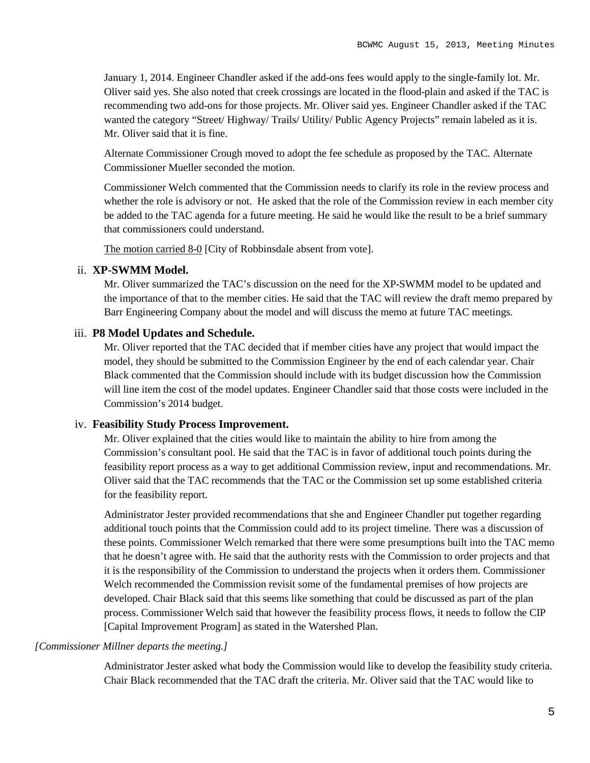January 1, 2014. Engineer Chandler asked if the add-ons fees would apply to the single-family lot. Mr. Oliver said yes. She also noted that creek crossings are located in the flood-plain and asked if the TAC is recommending two add-ons for those projects. Mr. Oliver said yes. Engineer Chandler asked if the TAC wanted the category "Street/ Highway/ Trails/ Utility/ Public Agency Projects" remain labeled as it is. Mr. Oliver said that it is fine.

Alternate Commissioner Crough moved to adopt the fee schedule as proposed by the TAC. Alternate Commissioner Mueller seconded the motion.

Commissioner Welch commented that the Commission needs to clarify its role in the review process and whether the role is advisory or not. He asked that the role of the Commission review in each member city be added to the TAC agenda for a future meeting. He said he would like the result to be a brief summary that commissioners could understand.

The motion carried 8-0 [City of Robbinsdale absent from vote].

## ii. **XP-SWMM Model.**

Mr. Oliver summarized the TAC's discussion on the need for the XP-SWMM model to be updated and the importance of that to the member cities. He said that the TAC will review the draft memo prepared by Barr Engineering Company about the model and will discuss the memo at future TAC meetings.

## iii. **P8 Model Updates and Schedule.**

Mr. Oliver reported that the TAC decided that if member cities have any project that would impact the model, they should be submitted to the Commission Engineer by the end of each calendar year. Chair Black commented that the Commission should include with its budget discussion how the Commission will line item the cost of the model updates. Engineer Chandler said that those costs were included in the Commission's 2014 budget.

#### iv. **Feasibility Study Process Improvement.**

Mr. Oliver explained that the cities would like to maintain the ability to hire from among the Commission's consultant pool. He said that the TAC is in favor of additional touch points during the feasibility report process as a way to get additional Commission review, input and recommendations. Mr. Oliver said that the TAC recommends that the TAC or the Commission set up some established criteria for the feasibility report.

Administrator Jester provided recommendations that she and Engineer Chandler put together regarding additional touch points that the Commission could add to its project timeline. There was a discussion of these points. Commissioner Welch remarked that there were some presumptions built into the TAC memo that he doesn't agree with. He said that the authority rests with the Commission to order projects and that it is the responsibility of the Commission to understand the projects when it orders them. Commissioner Welch recommended the Commission revisit some of the fundamental premises of how projects are developed. Chair Black said that this seems like something that could be discussed as part of the plan process. Commissioner Welch said that however the feasibility process flows, it needs to follow the CIP [Capital Improvement Program] as stated in the Watershed Plan.

#### *[Commissioner Millner departs the meeting.]*

Administrator Jester asked what body the Commission would like to develop the feasibility study criteria. Chair Black recommended that the TAC draft the criteria. Mr. Oliver said that the TAC would like to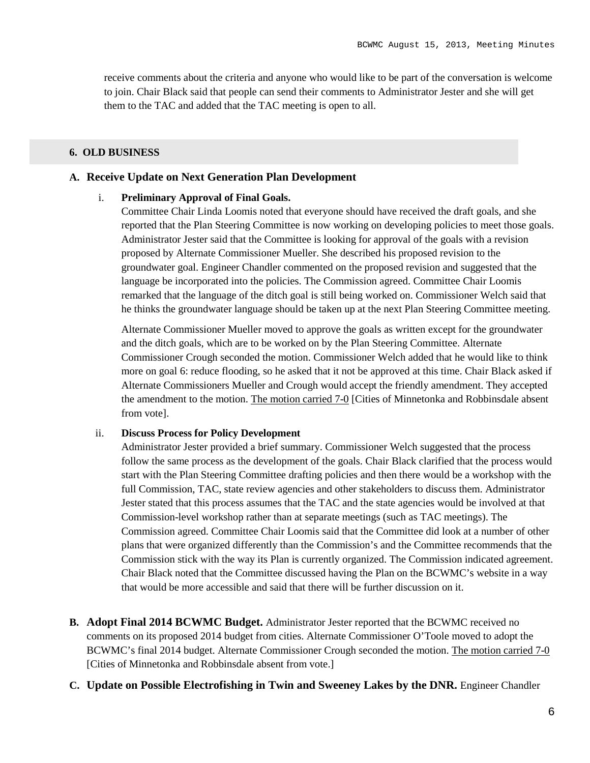receive comments about the criteria and anyone who would like to be part of the conversation is welcome to join. Chair Black said that people can send their comments to Administrator Jester and she will get them to the TAC and added that the TAC meeting is open to all.

#### **6. OLD BUSINESS**

## **A. Receive Update on Next Generation Plan Development**

#### i. **Preliminary Approval of Final Goals.**

Committee Chair Linda Loomis noted that everyone should have received the draft goals, and she reported that the Plan Steering Committee is now working on developing policies to meet those goals. Administrator Jester said that the Committee is looking for approval of the goals with a revision proposed by Alternate Commissioner Mueller. She described his proposed revision to the groundwater goal. Engineer Chandler commented on the proposed revision and suggested that the language be incorporated into the policies. The Commission agreed. Committee Chair Loomis remarked that the language of the ditch goal is still being worked on. Commissioner Welch said that he thinks the groundwater language should be taken up at the next Plan Steering Committee meeting.

Alternate Commissioner Mueller moved to approve the goals as written except for the groundwater and the ditch goals, which are to be worked on by the Plan Steering Committee. Alternate Commissioner Crough seconded the motion. Commissioner Welch added that he would like to think more on goal 6: reduce flooding, so he asked that it not be approved at this time. Chair Black asked if Alternate Commissioners Mueller and Crough would accept the friendly amendment. They accepted the amendment to the motion. The motion carried 7-0 [Cities of Minnetonka and Robbinsdale absent from vote].

#### ii. **Discuss Process for Policy Development**

Administrator Jester provided a brief summary. Commissioner Welch suggested that the process follow the same process as the development of the goals. Chair Black clarified that the process would start with the Plan Steering Committee drafting policies and then there would be a workshop with the full Commission, TAC, state review agencies and other stakeholders to discuss them. Administrator Jester stated that this process assumes that the TAC and the state agencies would be involved at that Commission-level workshop rather than at separate meetings (such as TAC meetings). The Commission agreed. Committee Chair Loomis said that the Committee did look at a number of other plans that were organized differently than the Commission's and the Committee recommends that the Commission stick with the way its Plan is currently organized. The Commission indicated agreement. Chair Black noted that the Committee discussed having the Plan on the BCWMC's website in a way that would be more accessible and said that there will be further discussion on it.

- **B. Adopt Final 2014 BCWMC Budget.** Administrator Jester reported that the BCWMC received no comments on its proposed 2014 budget from cities. Alternate Commissioner O'Toole moved to adopt the BCWMC's final 2014 budget. Alternate Commissioner Crough seconded the motion. The motion carried 7-0 [Cities of Minnetonka and Robbinsdale absent from vote.]
- **C. Update on Possible Electrofishing in Twin and Sweeney Lakes by the DNR.** Engineer Chandler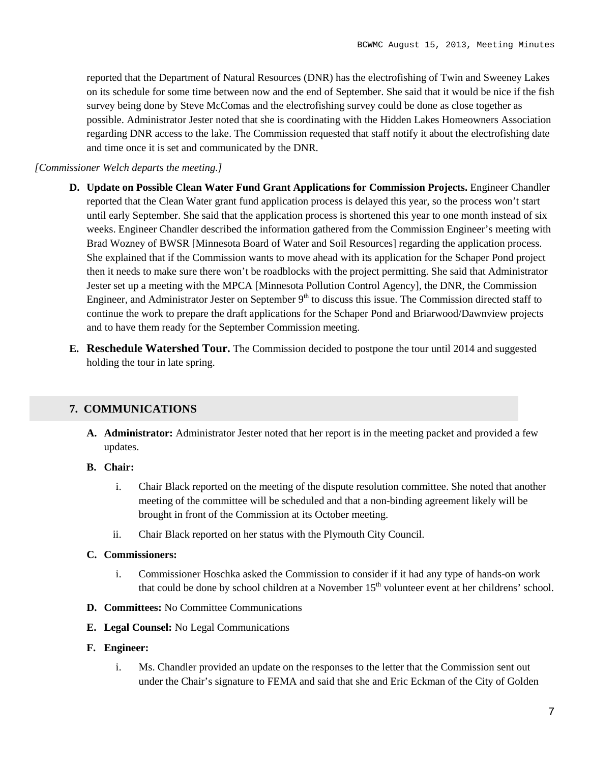reported that the Department of Natural Resources (DNR) has the electrofishing of Twin and Sweeney Lakes on its schedule for some time between now and the end of September. She said that it would be nice if the fish survey being done by Steve McComas and the electrofishing survey could be done as close together as possible. Administrator Jester noted that she is coordinating with the Hidden Lakes Homeowners Association regarding DNR access to the lake. The Commission requested that staff notify it about the electrofishing date and time once it is set and communicated by the DNR.

#### *[Commissioner Welch departs the meeting.]*

- **D. Update on Possible Clean Water Fund Grant Applications for Commission Projects.** Engineer Chandler reported that the Clean Water grant fund application process is delayed this year, so the process won't start until early September. She said that the application process is shortened this year to one month instead of six weeks. Engineer Chandler described the information gathered from the Commission Engineer's meeting with Brad Wozney of BWSR [Minnesota Board of Water and Soil Resources] regarding the application process. She explained that if the Commission wants to move ahead with its application for the Schaper Pond project then it needs to make sure there won't be roadblocks with the project permitting. She said that Administrator Jester set up a meeting with the MPCA [Minnesota Pollution Control Agency], the DNR, the Commission Engineer, and Administrator Jester on September  $9<sup>th</sup>$  to discuss this issue. The Commission directed staff to continue the work to prepare the draft applications for the Schaper Pond and Briarwood/Dawnview projects and to have them ready for the September Commission meeting.
- **E. Reschedule Watershed Tour.** The Commission decided to postpone the tour until 2014 and suggested holding the tour in late spring.

## **7. COMMUNICATIONS**

**A. Administrator:** Administrator Jester noted that her report is in the meeting packet and provided a few updates.

## **B. Chair:**

- i. Chair Black reported on the meeting of the dispute resolution committee. She noted that another meeting of the committee will be scheduled and that a non-binding agreement likely will be brought in front of the Commission at its October meeting.
- ii. Chair Black reported on her status with the Plymouth City Council.

## **C. Commissioners:**

- i. Commissioner Hoschka asked the Commission to consider if it had any type of hands-on work that could be done by school children at a November 15<sup>th</sup> volunteer event at her childrens' school.
- **D. Committees:** No Committee Communications
- **E. Legal Counsel:** No Legal Communications
- **F. Engineer:**
	- i. Ms. Chandler provided an update on the responses to the letter that the Commission sent out under the Chair's signature to FEMA and said that she and Eric Eckman of the City of Golden